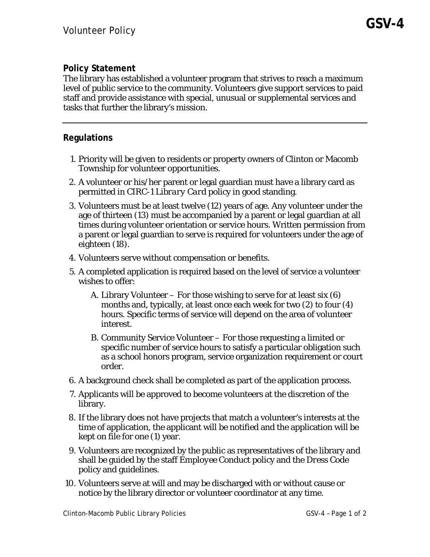## **Policy Statement**

The library has established a volunteer program that strives to reach a maximum level of public service to the community. Volunteers give support services to paid staff and provide assistance with special, unusual or supplemental services and tasks that further the library's mission.

## **Regulations**

- 1. Priority will be given to residents or property owners of Clinton or Macomb Township for volunteer opportunities.
- 2. A volunteer or his/her parent or legal guardian must have a library card as permitted in *CIRC-1 Library Card* policy in good standing.
- 3. Volunteers must be at least twelve (12) years of age. Any volunteer under the age of thirteen (13) must be accompanied by a parent or legal guardian at all times during volunteer orientation or service hours. Written permission from a parent or legal guardian to serve is required for volunteers under the age of eighteen (18).
- 4. Volunteers serve without compensation or benefits.
- 5. A completed application is required based on the level of service a volunteer wishes to offer:
	- A. Library Volunteer For those wishing to serve for at least six (6) months and, typically, at least once each week for two (2) to four (4) hours. Specific terms of service will depend on the area of volunteer interest.
	- B. Community Service Volunteer For those requesting a limited or specific number of service hours to satisfy a particular obligation such as a school honors program, service organization requirement or court order.
- 6. A background check shall be completed as part of the application process.
- 7. Applicants will be approved to become volunteers at the discretion of the library.
- 8. If the library does not have projects that match a volunteer's interests at the time of application, the applicant will be notified and the application will be kept on file for one (1) year.
- 9. Volunteers are recognized by the public as representatives of the library and shall be guided by the staff *Employee Conduct* policy and the *Dress Code*  policy and guidelines.
- 10. Volunteers serve at will and may be discharged with or without cause or notice by the library director or volunteer coordinator at any time.